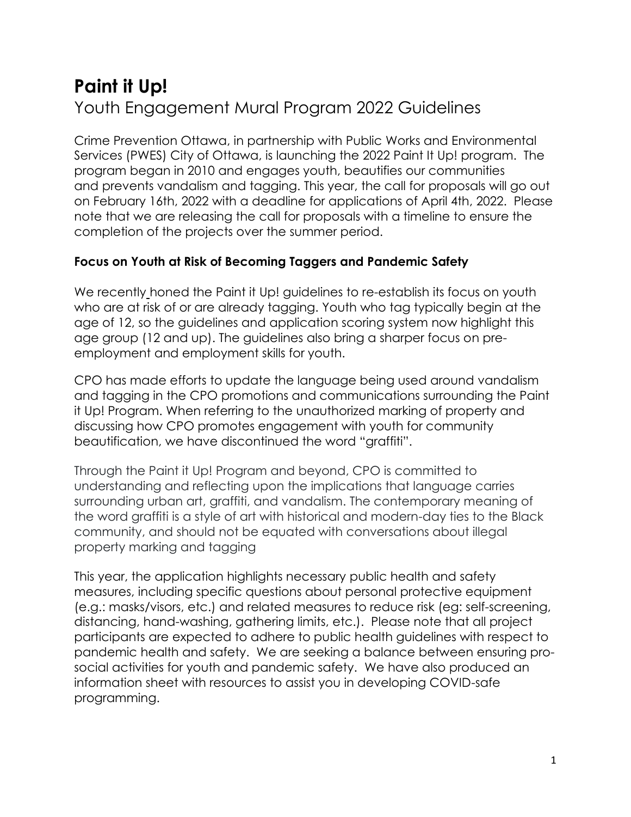# **Paint it Up!** Youth Engagement Mural Program 2022 Guidelines

Crime Prevention Ottawa, in partnership with Public Works and Environmental Services (PWES) City of Ottawa, is launching the 2022 Paint It Up! program. The program began in 2010 and engages youth, beautifies our communities and prevents vandalism and tagging. This year, the call for proposals will go out on February 16th, 2022 with a deadline for applications of April 4th, 2022. Please note that we are releasing the call for proposals with a timeline to ensure the completion of the projects over the summer period.

## **Focus on Youth at Risk of Becoming Taggers and Pandemic Safety**

We recently honed the Paint it Up! guidelines to re-establish its focus on youth who are at risk of or are already tagging. Youth who tag typically begin at the age of 12, so the guidelines and application scoring system now highlight this age group (12 and up). The guidelines also bring a sharper focus on preemployment and employment skills for youth.

CPO has made efforts to update the language being used around vandalism and tagging in the CPO promotions and communications surrounding the Paint it Up! Program. When referring to the unauthorized marking of property and discussing how CPO promotes engagement with youth for community beautification, we have discontinued the word "graffiti".

Through the Paint it Up! Program and beyond, CPO is committed to understanding and reflecting upon the implications that language carries surrounding urban art, graffiti, and vandalism. The contemporary meaning of the word graffiti is a style of art with historical and modern-day ties to the Black community, and should not be equated with conversations about illegal property marking and tagging

This year, the application highlights necessary [public health and safety](https://www.ottawapublichealth.ca/en/public-health-topics/social-distancing.aspx) measures, including specific questions about personal protective equipment (e.g.: masks/visors, etc.) and related measures to reduce risk (eg: self-screening, distancing, hand-washing, gathering limits, etc.). Please note that all project participants are expected to adhere to public health guidelines with respect to pandemic health and safety. We are seeking a balance between ensuring prosocial activities for youth and pandemic safety. We have also produced an information sheet with resources to assist you in developing COVID-safe programming.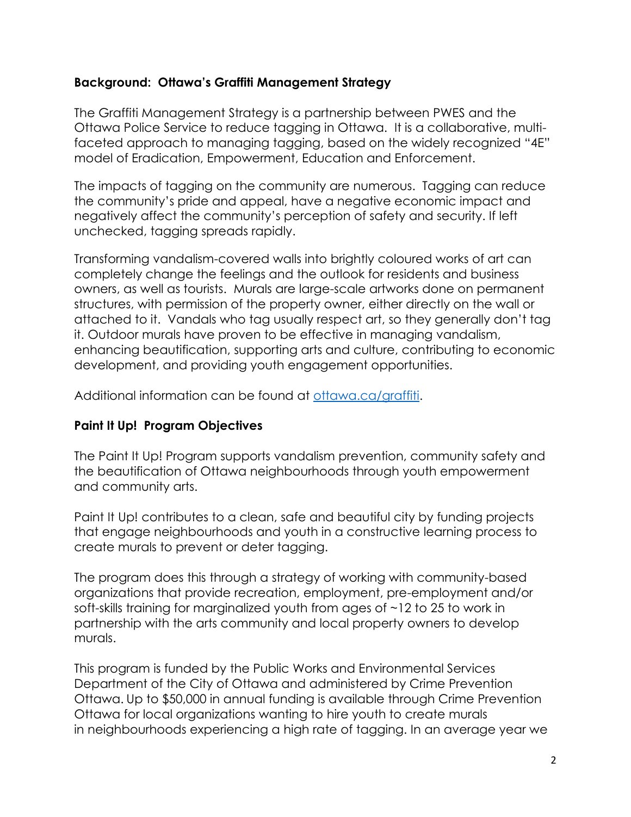#### **Background: Ottawa's Graffiti Management Strategy**

The Graffiti Management Strategy is a partnership between PWES and the Ottawa Police Service to reduce tagging in Ottawa. It is a collaborative, multifaceted approach to managing tagging, based on the widely recognized "4E" model of Eradication, Empowerment, Education and Enforcement.

The impacts of tagging on the community are numerous. Tagging can reduce the community's pride and appeal, have a negative economic impact and negatively affect the community's perception of safety and security. If left unchecked, tagging spreads rapidly.

Transforming vandalism-covered walls into brightly coloured works of art can completely change the feelings and the outlook for residents and business owners, as well as tourists. Murals are large-scale artworks done on permanent structures, with permission of the property owner, either directly on the wall or attached to it. Vandals who tag usually respect art, so they generally don't tag it. Outdoor murals have proven to be effective in managing vandalism, enhancing beautification, supporting arts and culture, contributing to economic development, and providing youth engagement opportunities.

Additional information can be found at [ottawa.ca/graffiti.](http://ottawa.ca/en/residents/water-and-environment/green-living/working-together-stop-graffiti)

## **Paint It Up! Program Objectives**

The Paint It Up! Program supports vandalism prevention, community safety and the beautification of Ottawa neighbourhoods through youth empowerment and community arts.

Paint It Up! contributes to a clean, safe and beautiful city by funding projects that engage neighbourhoods and youth in a constructive learning process to create murals to prevent or deter tagging.

The program does this through a strategy of working with community-based organizations that provide recreation, employment, pre-employment and/or soft-skills training for marginalized youth from ages of ~12 to 25 to work in partnership with the arts community and local property owners to develop murals.

This program is funded by the Public Works and Environmental Services Department of the City of Ottawa and administered by Crime Prevention Ottawa. Up to \$50,000 in annual funding is available through Crime Prevention Ottawa for local organizations wanting to hire youth to create murals in neighbourhoods experiencing a high rate of tagging. In an average year we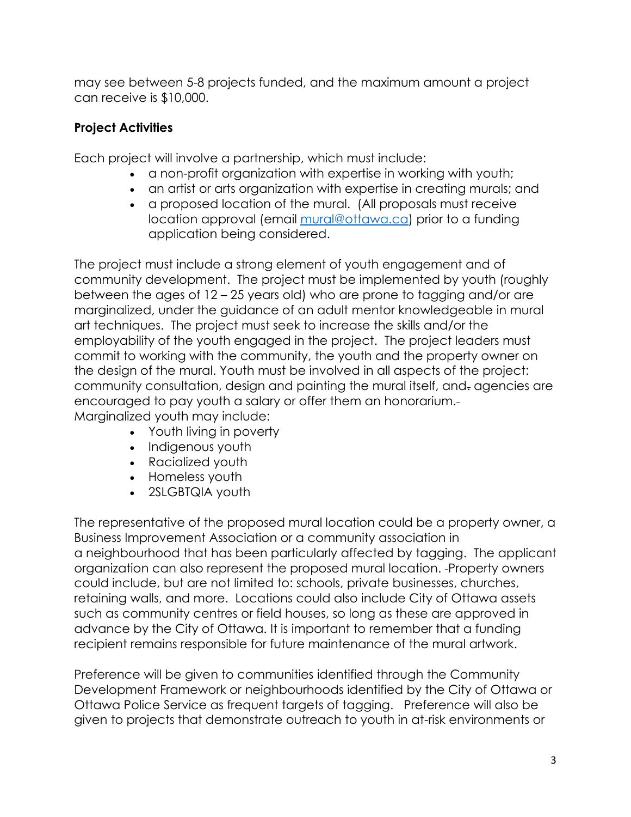may see between 5-8 projects funded, and the maximum amount a project can receive is \$10,000.

# **Project Activities**

Each project will involve a partnership, which must include:

- a non-profit organization with expertise in working with youth;
- an artist or arts organization with expertise in creating murals; and
- a proposed location of the mural. (All proposals must receive location approval (email [mural@ottawa.ca\)](mailto:mural@ottawa.ca) prior to a funding application being considered.

The project must include a strong element of youth engagement and of community development. The project must be implemented by youth (roughly between the ages of 12 – 25 years old) who are prone to tagging and/or are marginalized, under the guidance of an adult mentor knowledgeable in mural art techniques. The project must seek to increase the skills and/or the employability of the youth engaged in the project. The project leaders must commit to working with the community, the youth and the property owner on the design of the mural. Youth must be involved in all aspects of the project: community consultation, design and painting the mural itself, and. agencies are encouraged to pay youth a salary or offer them an honorarium. Marginalized youth may include:

- Youth living in poverty
- Indigenous youth
- Racialized youth
- Homeless youth
- 2SLGBTQIA youth

The representative of the proposed mural location could be a property owner, a Business Improvement Association or a community association in a neighbourhood that has been particularly affected by tagging. The applicant organization can also represent the proposed mural location. Property owners could include, but are not limited to: schools, private businesses, churches, retaining walls, and more. Locations could also include City of Ottawa assets such as community centres or field houses, so long as these are approved in advance by the City of Ottawa. It is important to remember that a funding recipient remains responsible for future maintenance of the mural artwork.

Preference will be given to communities identified through the Community Development Framework or neighbourhoods identified by the City of Ottawa or Ottawa Police Service as frequent targets of tagging. Preference will also be given to projects that demonstrate outreach to youth in at-risk environments or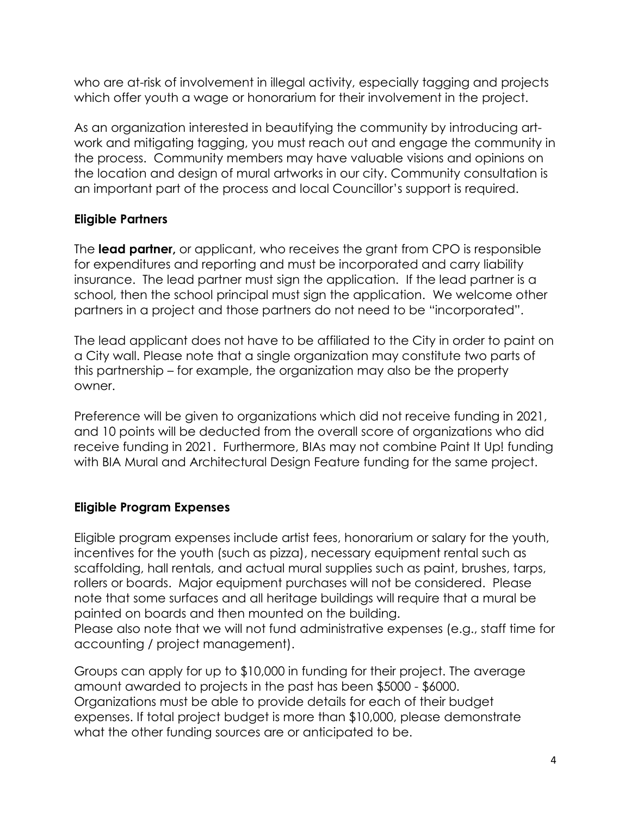who are at-risk of involvement in illegal activity, especially tagging and projects which offer youth a wage or honorarium for their involvement in the project.

As an organization interested in beautifying the community by introducing artwork and mitigating tagging, you must reach out and engage the community in the process. Community members may have valuable visions and opinions on the location and design of mural artworks in our city. Community consultation is an important part of the process and local Councillor's support is required.

## **Eligible Partners**

The **lead partner,** or applicant, who receives the grant from CPO is responsible for expenditures and reporting and must be incorporated and carry liability insurance. The lead partner must sign the application. If the lead partner is a school, then the school principal must sign the application. We welcome other partners in a project and those partners do not need to be "incorporated".

The lead applicant does not have to be affiliated to the City in order to paint on a City wall. Please note that a single organization may constitute two parts of this partnership – for example, the organization may also be the property owner.

Preference will be given to organizations which did not receive funding in 2021, and 10 points will be deducted from the overall score of organizations who did receive funding in 2021. Furthermore, BIAs may not combine Paint It Up! funding with BIA Mural and Architectural Design Feature funding for the same project.

## **Eligible Program Expenses**

Eligible program expenses include artist fees, honorarium or salary for the youth, incentives for the youth (such as pizza), necessary equipment rental such as scaffolding, hall rentals, and actual mural supplies such as paint, brushes, tarps, rollers or boards. Major equipment purchases will not be considered. Please note that some surfaces and all heritage buildings will require that a mural be painted on boards and then mounted on the building. Please also note that we will not fund administrative expenses (e.g., staff time for accounting / project management).

Groups can apply for up to \$10,000 in funding for their project. The average amount awarded to projects in the past has been \$5000 - \$6000. Organizations must be able to provide details for each of their budget expenses. If total project budget is more than \$10,000, please demonstrate what the other funding sources are or anticipated to be.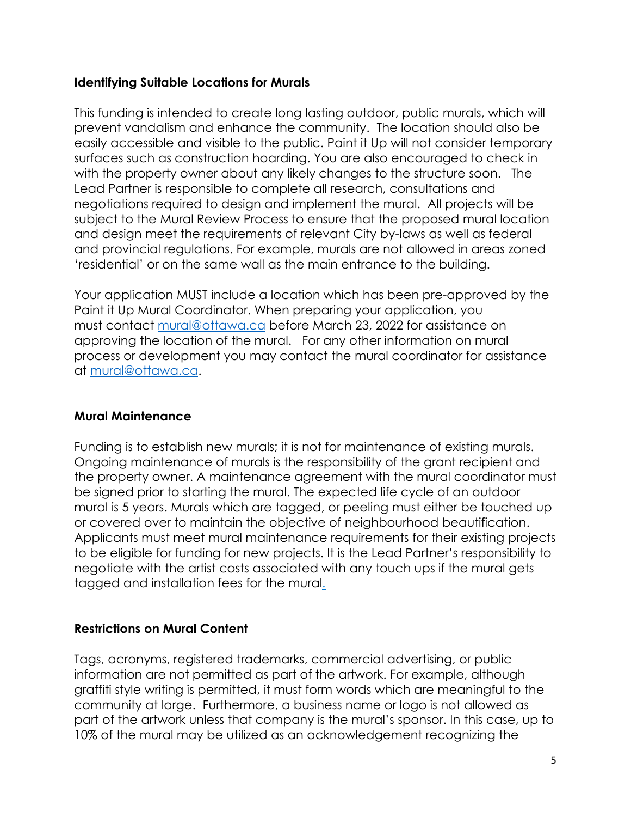#### **Identifying Suitable Locations for Murals**

This funding is intended to create long lasting outdoor, public murals, which will prevent vandalism and enhance the community. The location should also be easily accessible and visible to the public. Paint it Up will not consider temporary surfaces such as construction hoarding. You are also encouraged to check in with the property owner about any likely changes to the structure soon. The Lead Partner is responsible to complete all research, consultations and negotiations required to design and implement the mural. All projects will be subject to the Mural Review Process to ensure that the proposed mural location and design meet the requirements of relevant City by-laws as well as federal and provincial regulations. For example, murals are not allowed in areas zoned 'residential' or on the same wall as the main entrance to the building.

Your application MUST include a location which has been pre-approved by the Paint it Up Mural Coordinator. When preparing your application, you must contact [mural@ottawa.ca](mailto:mural@ottawa.ca) before March 23, 2022 for assistance on approving the location of the mural. For any other information on mural process or development you may contact the mural coordinator for assistance at [mural@ottawa.ca.](mailto:mural@ottawa.ca)

## **Mural Maintenance**

Funding is to establish new murals; it is not for maintenance of existing murals. Ongoing maintenance of murals is the responsibility of the grant recipient and the property owner. A maintenance agreement with the mural coordinator must be signed prior to starting the mural. The expected life cycle of an outdoor mural is 5 years. Murals which are tagged, or peeling must either be touched up or covered over to maintain the objective of neighbourhood beautification. Applicants must meet mural maintenance requirements for their existing projects to be eligible for funding for new projects. It is the Lead Partner's responsibility to negotiate with the artist costs associated with any touch ups if the mural gets tagged and installation fees for the mural.

#### **Restrictions on Mural Content**

Tags, acronyms, registered trademarks, commercial advertising, or public information are not permitted as part of the artwork. For example, although graffiti style writing is permitted, it must form words which are meaningful to the community at large. Furthermore, a business name or logo is not allowed as part of the artwork unless that company is the mural's sponsor. In this case, up to 10% of the mural may be utilized as an acknowledgement recognizing the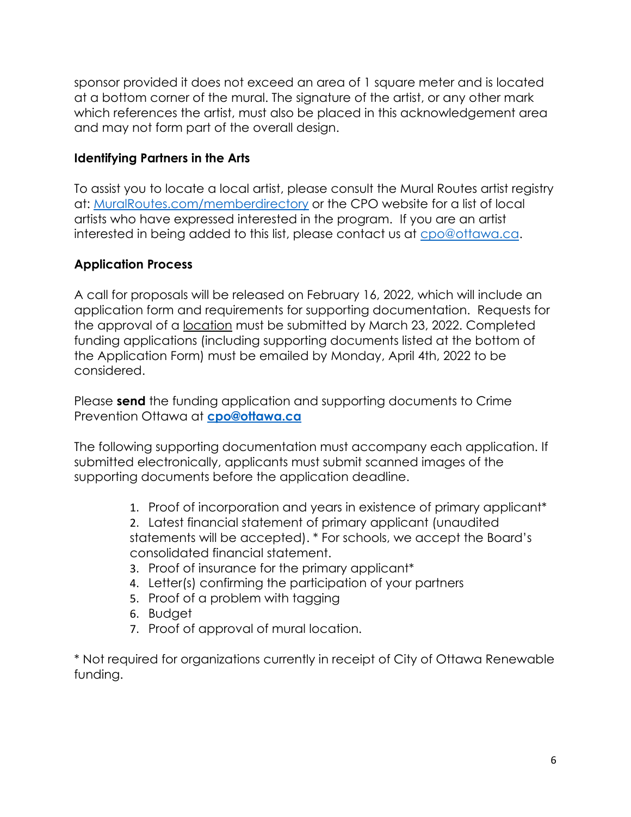sponsor provided it does not exceed an area of 1 square meter and is located at a bottom corner of the mural. The signature of the artist, or any other mark which references the artist, must also be placed in this acknowledgement area and may not form part of the overall design.

#### **Identifying Partners in the Arts**

To assist you to locate a local artist, please consult the Mural Routes artist registry at: [MuralRoutes.com/memberdirectory](http://www.muralroutes.com/memberdirectory.htm) or the CPO website for a list of local artists who have expressed interested in the program. If you are an artist interested in being added to this list, please contact us at [cpo@ottawa.ca.](mailto:cpo@ottawa.ca)

## **Application Process**

A call for proposals will be released on February 16, 2022, which will include an application form and requirements for supporting documentation. Requests for the approval of a location must be submitted by March 23, 2022. Completed funding applications (including supporting documents listed at the bottom of the Application Form) must be emailed by Monday, April 4th, 2022 to be considered.

Please **send** the funding application and supporting documents to Crime Prevention Ottawa at **[cpo@ottawa.ca](mailto:cpo@ottawa.ca)**

The following supporting documentation must accompany each application. If submitted electronically, applicants must submit scanned images of the supporting documents before the application deadline.

1. Proof of incorporation and years in existence of primary applicant\*

2. Latest financial statement of primary applicant (unaudited statements will be accepted). \* For schools, we accept the Board's consolidated financial statement.

- 3. Proof of insurance for the primary applicant\*
- 4. Letter(s) confirming the participation of your partners
- 5. Proof of a problem with tagging
- 6. Budget
- 7. Proof of approval of mural location.

\* Not required for organizations currently in receipt of City of Ottawa Renewable funding.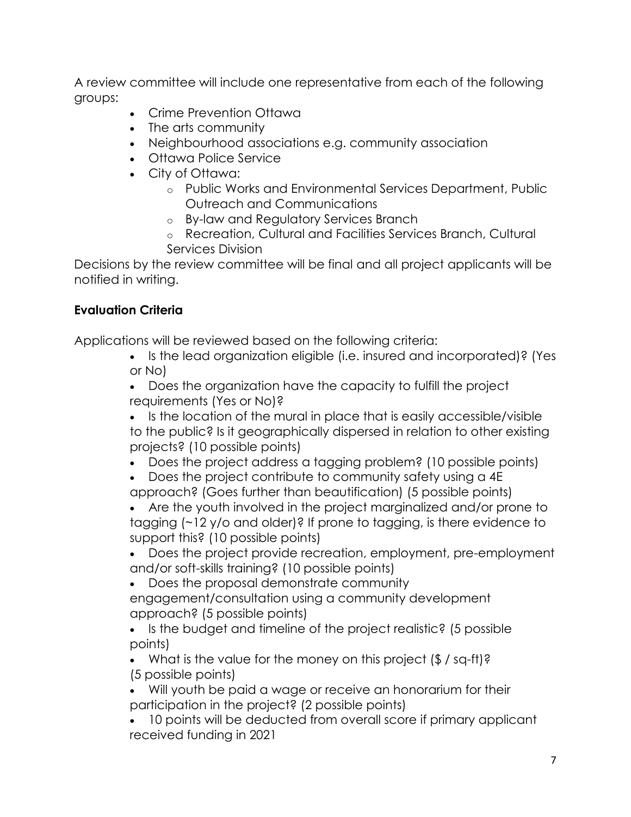A review committee will include one representative from each of the following groups:

- Crime Prevention Ottawa
- The arts community
- Neighbourhood associations e.g. community association
- Ottawa Police Service
- City of Ottawa:
	- o Public Works and Environmental Services Department, Public Outreach and Communications
	- o By-law and Regulatory Services Branch
	- o Recreation, Cultural and Facilities Services Branch, Cultural Services Division

Decisions by the review committee will be final and all project applicants will be notified in writing.

## **Evaluation Criteria**

Applications will be reviewed based on the following criteria:

- Is the lead organization eligible (i.e. insured and incorporated)? (Yes or No)
- Does the organization have the capacity to fulfill the project requirements (Yes or No)?
- Is the location of the mural in place that is easily accessible/visible to the public? Is it geographically dispersed in relation to other existing projects? (10 possible points)
- Does the project address a tagging problem? (10 possible points)
- Does the project contribute to community safety using a 4E
- approach? (Goes further than beautification) (5 possible points) • Are the youth involved in the project marginalized and/or prone to tagging (~12 y/o and older)? If prone to tagging, is there evidence to support this? (10 possible points)
- Does the project provide recreation, employment, pre-employment and/or soft-skills training? (10 possible points)
- Does the proposal demonstrate community
- engagement/consultation using a community development approach? (5 possible points)
- Is the budget and timeline of the project realistic? (5 possible points)
- What is the value for the money on this project (\$ / sq-ft)? (5 possible points)
- Will youth be paid a wage or receive an honorarium for their participation in the project? (2 possible points)
- 10 points will be deducted from overall score if primary applicant received funding in 2021